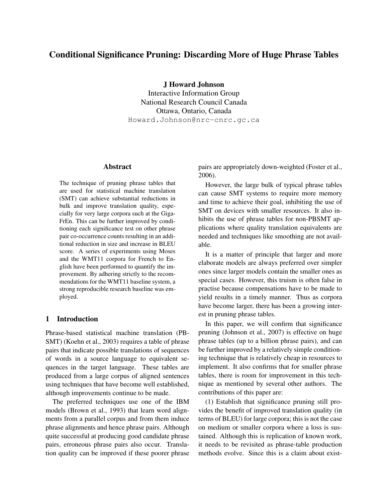# Conditional Significance Pruning: Discarding More of Huge Phrase Tables

J Howard Johnson Interactive Information Group

National Research Council Canada Ottawa, Ontario, Canada Howard.Johnson@nrc-cnrc.gc.ca

#### Abstract

The technique of pruning phrase tables that are used for statistical machine translation (SMT) can achieve substantial reductions in bulk and improve translation quality, especially for very large corpora such at the Giga-FrEn. This can be further improved by conditioning each significance test on other phrase pair co-occurrence counts resulting in an additional reduction in size and increase in BLEU score. A series of experiments using Moses and the WMT11 corpora for French to English have been performed to quantify the improvement. By adhering strictly to the recommendations for the WMT11 baseline system, a strong reproducible research baseline was employed.

#### 1 Introduction

Phrase-based statistical machine translation (PB-SMT) (Koehn et al., 2003) requires a table of phrase pairs that indicate possible translations of sequences of words in a source language to equivalent sequences in the target language. These tables are produced from a large corpus of aligned sentences using techniques that have become well established, although improvements continue to be made.

The preferred techniques use one of the IBM models (Brown et al., 1993) that learn word alignments from a parallel corpus and from them induce phrase alignments and hence phrase pairs. Although quite successful at producing good candidate phrase pairs, erroneous phrase pairs also occur. Translation quality can be improved if these poorer phrase

pairs are appropriately down-weighted (Foster et al., 2006).

However, the large bulk of typical phrase tables can cause SMT systems to require more memory and time to achieve their goal, inhibiting the use of SMT on devices with smaller resources. It also inhibits the use of phrase tables for non-PBSMT applications where quality translation equivalents are needed and techniques like smoothing are not available.

It is a matter of principle that larger and more elaborate models are always preferred over simpler ones since larger models contain the smaller ones as special cases. However, this truism is often false in practise because compensations have to be made to yield results in a timely manner. Thus as corpora have become larger, there has been a growing interest in pruning phrase tables.

In this paper, we will confirm that significance pruning (Johnson et al., 2007) is effective on huge phrase tables (up to a billion phrase pairs), and can be further improved by a relatively simple conditioning technique that is relatively cheap in resources to implement. It also confirms that for smaller phrase tables, there is room for improvement in this technique as mentioned by several other authors. The contributions of this paper are:

(1) Establish that significance pruning still provides the benefit of improved translation quality (in terms of BLEU) for large corpora; this is not the case on medium or smaller corpora where a loss is sustained. Although this is replication of known work, it needs to be revisited as phrase-table production methods evolve. Since this is a claim about exist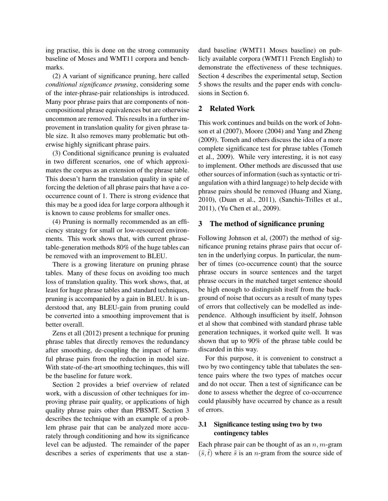ing practise, this is done on the strong community baseline of Moses and WMT11 corpora and benchmarks.

(2) A variant of significance pruning, here called *conditional significance pruning*, considering some of the inter-phrase-pair relationships is introduced. Many poor phrase pairs that are components of noncompositional phrase equivalences but are otherwise uncommon are removed. This results in a further improvement in translation quality for given phrase table size. It also removes many problematic but otherwise highly significant phrase pairs.

(3) Conditional significance pruning is evaluated in two different scenarios, one of which approximates the corpus as an extension of the phrase table. This doesn't harm the translation quality in spite of forcing the deletion of all phrase pairs that have a cooccurrence count of 1. There is strong evidence that this may be a good idea for large corpora although it is known to cause problems for smaller ones.

(4) Pruning is normally recommended as an efficiency strategy for small or low-resourced environments. This work shows that, with current phrasetable-generation methods 80% of the huge tables can be removed with an improvement to BLEU.

There is a growing literature on pruning phrase tables. Many of these focus on avoiding too much loss of translation quality. This work shows, that, at least for huge phrase tables and standard techniques, pruning is accompanied by a gain in BLEU. It is understood that, any BLEU-gain from pruning could be converted into a smoothing improvement that is better overall.

Zens et all (2012) present a technique for pruning phrase tables that directly removes the redundancy after smoothing, de-coupling the impact of harmful phrase pairs from the reduction in model size. With state-of-the-art smoothing techinques, this will be the baseline for future work.

Section 2 provides a brief overview of related work, with a discussion of other techniques for improving phrase pair quality, or applications of high quality phrase pairs other than PBSMT. Section 3 describes the technique with an example of a problem phrase pair that can be analyzed more accurately through conditioning and how its significance level can be adjusted. The remainder of the paper describes a series of experiments that use a standard baseline (WMT11 Moses baseline) on publicly available corpora (WMT11 French English) to demonstrate the effectiveness of these techniques. Section 4 describes the experimental setup, Section 5 shows the results and the paper ends with conclusions in Section 6.

#### 2 Related Work

This work continues and builds on the work of Johnson et al (2007), Moore (2004) and Yang and Zheng (2009). Tomeh and others discuss the idea of a more complete significance test for phrase tables (Tomeh et al., 2009). While very interesting, it is not easy to implement. Other methods are discussed that use other sources of information (such as syntactic or triangulation with a third language) to help decide with phrase pairs should be removed (Huang and Xiang, 2010), (Duan et al., 2011), (Sanchis-Trilles et al., 2011), (Yu Chen et al., 2009).

#### 3 The method of significance pruning

Following Johnson et al, (2007) the method of significance pruning retains phrase pairs that occur often in the underlying corpus. In particular, the number of times (co-occurrence count) that the source phrase occurs in source sentences and the target phrase occurs in the matched target sentence should be high enough to distinguish itself from the background of noise that occurs as a result of many types of errors that collectively can be modelled as independence. Although insufficient by itself, Johnson et al show that combined with standard phrase table generation techniques, it worked quite well. It was shown that up to 90% of the phrase table could be discarded in this way.

For this purpose, it is convenient to construct a two by two contingency table that tabulates the sentence pairs where the two types of matches occur and do not occur. Then a test of significance can be done to assess whether the degree of co-occurrence could plausibly have occurred by chance as a result of errors.

### 3.1 Significance testing using two by two contingency tables

Each phrase pair can be thought of as an  $n, m$ -gram  $(\tilde{s}, \tilde{t})$  where  $\tilde{s}$  is an *n*-gram from the source side of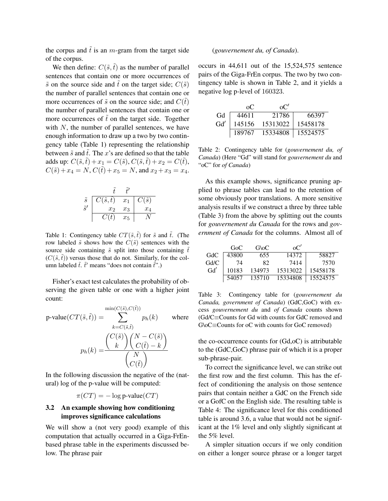the corpus and  $\tilde{t}$  is an m-gram from the target side of the corpus.

We then define:  $C(\tilde{s}, \tilde{t})$  as the number of parallel sentences that contain one or more occurrences of  $\tilde{s}$  on the source side and  $\tilde{t}$  on the target side;  $C(\tilde{s})$ the number of parallel sentences that contain one or more occurrences of  $\tilde{s}$  on the source side; and  $C(\tilde{t})$ the number of parallel sentences that contain one or more occurrences of  $\tilde{t}$  on the target side. Together with  $N$ , the number of parallel sentences, we have enough information to draw up a two by two contingency table (Table 1) representing the relationship between  $\tilde{s}$  and  $\tilde{t}$ . The x's are defined so that the table adds up:  $C(\tilde{s}, \tilde{t}) + x_1 = C(\tilde{s}), C(\tilde{s}, \tilde{t}) + x_2 = C(\tilde{t}),$  $C(\tilde{s})+x_4 = N, C(\tilde{t})+x_5 = N$ , and  $x_2 + x_3 = x_4$ .



Table 1: Contingency table  $CT(\tilde{s}, \tilde{t})$  for  $\tilde{s}$  and  $\tilde{t}$ . (The row labeled  $\tilde{s}$  shows how the  $C(\tilde{s})$  sentences with the source side containing  $\tilde{s}$  split into those containing  $\tilde{t}$  $(C(\tilde{s},\tilde{t}))$  versus those that do not. Similarly, for the column labeled  $\tilde{t}$ .  $\tilde{t}'$  means "does not contain  $\tilde{t}$ ".)

Fisher's exact test calculates the probability of observing the given table or one with a higher joint count:

$$
p\text{-value}(CT(\tilde{s},\tilde{t})) = \sum_{k=C(\tilde{s},\tilde{t})}^{\min(C(\tilde{s}),C(\tilde{t}))} p_h(k) \quad \text{where}
$$

$$
p_h(k) = \frac{\binom{C(\tilde{s})}{k}\binom{N-C(\tilde{s})}{C(\tilde{t})-k}}{\binom{N}{C(\tilde{t})}}
$$

In the following discussion the negative of the (natural) log of the p-value will be computed:

$$
\pi(CT) = -\log p\text{-value}(CT)
$$

### 3.2 An example showing how conditioning improves significance calculations

We will show a (not very good) example of this computation that actually occurred in a Giga-FrEnbased phrase table in the experiments discussed below. The phrase pair

#### (*gouvernement du, of Canada*).

occurs in 44,611 out of the 15,524,575 sentence pairs of the Giga-FrEn corpus. The two by two contingency table is shown in Table 2, and it yields a negative log p-level of 160323.

|     | റ⊂     | $\alpha$ <sup>"</sup> |          |
|-----|--------|-----------------------|----------|
| Gd  | 44611  | 21786                 | 66397    |
| Gd' | 145156 | 15313022              | 15458178 |
|     | 189767 | 15334808              | 15524575 |

Table 2: Contingency table for (*gouvernement du, of Canada*) (Here "Gd" will stand for *gouvernement du* and "oC" for *of Canada*)

As this example shows, significance pruning applied to phrase tables can lead to the retention of some obviously poor translations. A more sensitive analysis results if we construct a three by three table (Table 3) from the above by splitting out the counts for *gouvernement du Canada* for the rows and *government of Canada* for the columns. Almost all of

|      | GoC   | G\oC   | $\alpha$ C' |          |
|------|-------|--------|-------------|----------|
| GdC  | 43800 | 655    | 14372       | 58827    |
| Gd/C | 74    | 82     | 7414        | 7570     |
| Gd'  | 10183 | 134973 | 15313022    | 15458178 |
|      | 54057 | 135710 | 15334808    | 15524575 |

Table 3: Contingency table for (*gouvernement du Canada, government of Canada*) (GdC,GoC) with excess *gouvernement du* and *of Canada* counts shown (Gd/C≡Counts for Gd with counts for GdC removed and G\oC≡Counts for oC with counts for GoC removed)

the co-occurrence counts for (Gd,oC) is attributable to the (GdC,GoC) phrase pair of which it is a proper sub-phrase-pair.

To correct the significance level, we can strike out the first row and the first column. This has the effect of conditioning the analysis on those sentence pairs that contain neither a GdC on the French side or a GofC on the English side. The resulting table is Table 4: The significance level for this conditioned table is around 3.6, a value that would not be significant at the 1% level and only slightly significant at the 5% level.

A simpler situation occurs if we only condition on either a longer source phrase or a longer target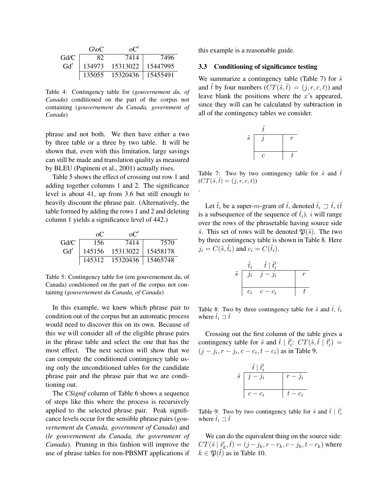|      | G\oC   | $\Omega^{\prime}$ |          |
|------|--------|-------------------|----------|
| Gd/C |        | 7414              | 7496     |
| Gd'  | 134973 | 15313022          | 15447995 |
|      | 135055 | 15320436          | 15455491 |

Table 4: Contingency table for (*gouvernement du, of Canada*) conditioned on the part of the corpus not containing (*gouvernement du Canada, government of Canada*)

phrase and not both. We then have either a two by three table or a three by two table. It will be shown that, even with this limitation, large savings can still be made and translation quality as measured by BLEU (Papineni et al., 2001) actually rises.

Table 5 shows the effect of crossing out row 1 and adding together columns 1 and 2. The significance level is about 41, up from 3.6 but still enough to heavily discount the phrase pair. (Alternatively, the table formed by adding the rows 1 and 2 and deleting column 1 yields a significance level of 442.)

|      | റ⊂     | $\alpha$ <sup>"</sup> |          |
|------|--------|-----------------------|----------|
| Gd/C | 156    | 7414                  | 7570     |
| Gd'  | 145156 | 15313022              | 15458178 |
|      | 145312 | 15320436              | 15465748 |

Table 5: Contingency table for (em gouvernement du, of Canada) conditioned on the part of the corpus not containing (*gouvernement du Canada, of Canada*)

In this example, we knew which phrase pair to condition out of the corpus but an automatic process would need to discover this on its own. Because of this we will consider all of the eligible phrase pairs in the phrase table and select the one that has the most effect. The next section will show that we can compute the conditioned contingency table using only the unconditioned tables for the candidate phrase pair and the phrase pair that we are conditioning out.

The *CSignif* column of Table 6 shows a sequence of steps like this where the process is recursively applied to the selected phrase pair. Peak significance levels occur for the sensible phrase pairs (*gouvernement du Canada, government of Canada*) and (*le gouvernement du Canada, the government of Canada*). Pruning in this fashion will improve the use of phrase tables for non-PBSMT applications if

this example is a reasonable guide.

#### 3.3 Conditioning of significance testing

We summarize a contingency table (Table 7) for  $\tilde{s}$ and  $\tilde{t}$  by four numbers  $(CT(\tilde{s},\tilde{t}) = (i, r, c, t))$  and leave blank the positions where the  $x$ 's appeared, since they will can be calculated by subtraction in all of the contingency tables we consider.



Table 7: Two by two contingency table for  $\tilde{s}$  and  $\tilde{t}$  $(CT(\tilde{s},\tilde{t}) = (j,r,c,t))$ 

.

Let  $\tilde{t}_i$  be a super-m-gram of  $\tilde{t}$ , denoted  $\tilde{t}_i \rightrightarrows \tilde{t}$ ,  $(\tilde{t}$ is a subsequence of the sequence of  $\tilde{t}_i$ ). i will range over the rows of the phrasetable having source side  $\tilde{s}$ . This set of rows will be denoted  $\mathfrak{P}(\tilde{s})$ . The two by three contingency table is shown in Table 8. Here  $j_i = C(\tilde{s}, \tilde{t}_i)$  and  $c_i = C(\tilde{t}_i)$ .

|             | $t_i$      | $t\mathrel{\restriction}$<br>$\sigma_{\eta}$ |  |
|-------------|------------|----------------------------------------------|--|
| $\tilde{s}$ | $\jmath_i$ | $j - j_i$                                    |  |
|             |            |                                              |  |
|             | $c_i$      | $c - c_i$                                    |  |

Table 8: Two by three contingency table for  $\tilde{s}$  and  $\tilde{t}$ ,  $\tilde{t}_i$ where  $\tilde{t}_i \sqsupset \tilde{t}$ 

Crossing out the first column of the table gives a contingency table for  $\tilde{s}$  and  $\tilde{t}$  |  $\tilde{t}'_i$ :  $CT(\tilde{s}, \tilde{t} | \tilde{t}'_i)$  =  $(j - j_i, r - j_i, c - c_i, t - c_i)$  as in Table 9.

|             | $t\mid t_i'$ |                |
|-------------|--------------|----------------|
| $\tilde{s}$ | $j - j_i$    | $r - \jmath_i$ |
|             |              |                |
|             | $c-c_i$      | $t-c_i$        |

Table 9: Two by two contingency table for  $\tilde{s}$  and  $\tilde{t} \mid \tilde{t}'_i$ where  $t_i \rightrightarrows t$ 

We can do the equivalent thing on the source side:  $CT(\tilde{s} | \tilde{s}'_k, \tilde{t}) = (j - j_k, r - r_k, c - j_k, t - r_k)$  where  $k \in \mathfrak{P}(\tilde{t})$  as in Table 10.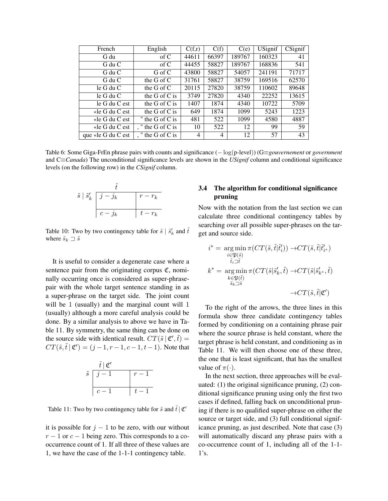| French             | English           | C(f,r)         | C(f)  | C(e)   | <b>USignif</b> | CSignif |
|--------------------|-------------------|----------------|-------|--------|----------------|---------|
|                    |                   |                |       |        |                |         |
| G du               | $\sigma$ f C      | 44611          | 66397 | 189767 | 160323         | 41      |
| G du C             | $\sigma$ f C      | 44455          | 58827 | 189767 | 168836         | 541     |
| G du C             | G of C            | 43800          | 58827 | 54057  | 241191         | 71717   |
| $G$ du $C$         | the G of $C$      | 31761          | 58827 | 38759  | 169516         | 62570   |
| $le$ G du C        | the G of $C$      | 20115          | 27820 | 38759  | 110602         | 89648   |
| $le$ G du C        | the G of C is     | 3749           | 27820 | 4340   | 22252          | 13615   |
| le G du C est      | the G of C is     | 1407           | 1874  | 4340   | 10722          | 5709    |
| «le $G$ du $C$ est | the G of C is     | 649            | 1874  | 1099   | 5243           | 1223    |
| «le G du C est     | " the G of C is   | 481            | 522   | 1099   | 4580           | 4887    |
| «le G du C est     | , " the G of C is | 10             | 522   | 12     | 99             | 59      |
| que «le G du C est | " the G of C is   | $\overline{4}$ | 4     | 12     | 57             | 43      |

Table 6: Some Giga-FrEn phrase pairs with counts and significance (− log(p-level)) (G≡*gouvernement* or *government* and C≡*Canada*) The unconditional significance levels are shown in the *USignif* column and conditional significance levels (on the following row) in the *CSignif* column.



Table 10: Two by two contingency table for  $\tilde{s} \mid \tilde{s}'_k$  and  $\tilde{t}$ where  $\tilde{s}_k \sqsupset \tilde{s}$ 

It is useful to consider a degenerate case where a sentence pair from the originating corpus  $\mathfrak{C}$ , nominally occurring once is considered as super-phrasepair with the whole target sentence standing in as a super-phrase on the target side. The joint count will be 1 (usually) and the marginal count will 1 (usually) although a more careful analysis could be done. By a similar analysis to above we have in Table 11. By symmetry, the same thing can be done on the source side with identical result.  $CT(\tilde{s} | \mathfrak{C}', \tilde{t}) =$  $CT(\tilde{s}, \tilde{t} | \mathfrak{C}') = (j-1, r-1, c-1, t-1)$ . Note that



Table 11: Two by two contingency table for  $\tilde{s}$  and  $\tilde{t} | \mathfrak{C}'$ 

it is possible for  $j - 1$  to be zero, with our without  $r - 1$  or  $c - 1$  being zero. This corresponds to a cooccurrence count of 1. If all three of these values are 1, we have the case of the 1-1-1 contingency table.

# 3.4 The algorithm for conditional significance pruning

Now with the notation from the last section we can calculate three conditional contingency tables by searching over all possible super-phrases on the target and source side.

$$
\begin{aligned}\n i^* &= \underset{\substack{i \in \mathfrak{P}(\tilde{s}) \\ \tilde{t}_i \supseteq \tilde{t}}} {\arg\min} \, \pi(CT(\tilde{s}, \tilde{t}|\tilde{t}'_i)) \rightarrow \!\! CT(\tilde{s}, \tilde{t}|\tilde{t}'_{i^*}) \\
k^* &= \underset{\substack{k \in \mathfrak{P}(\tilde{t}) \\ \tilde{s}_k \supseteq \tilde{s}}} {\arg\min} \, \pi(CT(\tilde{s}|\tilde{s}'_k, \tilde{t}) \rightarrow \!\! CT(\tilde{s}|\tilde{s}'_{k^*}, \tilde{t}) \\
&\rightarrow \!\! CT(\tilde{s}, \tilde{t}|\mathfrak{C}')\n \end{aligned}
$$

To the right of the arrows, the three lines in this formula show three candidate contingency tables formed by conditioning on a containing phrase pair where the source phrase is held constant, where the target phrase is held constant, and conditioning as in Table 11. We will then choose one of these three, the one that is least significant, that has the smallest value of  $\pi(\cdot)$ .

In the next section, three approaches will be evaluated: (1) the original significance pruning, (2) conditional significance pruning using only the first two cases if defined, falling back on unconditional pruning if there is no qualified super-phrase on either the source or target side, and (3) full conditional significance pruning, as just described. Note that case (3) will automatically discard any phrase pairs with a co-occurrence count of 1, including all of the 1-1- 1's.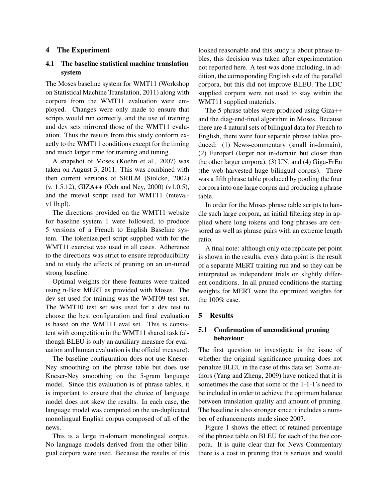#### 4 The Experiment

### 4.1 The baseline statistical machine translation system

The Moses baseline system for WMT11 (Workshop on Statistical Machine Translation, 2011) along with corpora from the WMT11 evaluation were employed. Changes were only made to ensure that scripts would run correctly, and the use of training and dev sets mirrored those of the WMT11 evaluation. Thus the results from this study conform exactly to the WMT11 conditions except for the timing and much larger time for training and tuning.

A snapshot of Moses (Koehn et al., 2007) was taken on August 3, 2011. This was combined with then current versions of SRILM (Stolcke, 2002) (v. 1.5.12), GIZA++ (Och and Ney, 2000) (v1.0.5), and the mteval script used for WMT11 (mtevalv11b.pl).

The directions provided on the WMT11 website for baseline system 1 were followed, to produce 5 versions of a French to English Baseline system. The tokenize.perl script supplied with for the WMT11 exercise was used in all cases. Adherence to the directions was strict to ensure reproducibility and to study the effects of pruning on an un-tuned strong baseline.

Optimal weights for these features were trained using n-Best MERT as provided with Moses. The dev set used for training was the WMT09 test set. The WMT10 test set was used for a dev test to choose the best configuration and final evaluation is based on the WMT11 eval set. This is consistent with competition in the WMT11 shared task (although BLEU is only an auxiliary measure for evaluation and human evaluation is the official measure).

The baseline configuration does not use Kneser-Ney smoothing on the phrase table but does use Kneser-Ney smoothing on the 5-gram language model. Since this evaluation is of phrase tables, it is important to ensure that the choice of language model does not skew the results. In each case, the language model was computed on the un-duplicated monolingual English corpus composed of all of the news.

This is a large in-domain monolingual corpus. No language models derived from the other bilingual corpora were used. Because the results of this looked reasonable and this study is about phrase tables, this decision was taken after experimentation not reported here. A test was done including, in addition, the corresponding English side of the parallel corpora, but this did not improve BLEU. The LDC supplied corpora were not used to stay within the WMT11 supplied materials.

The 5 phrase tables were produced using Giza++ and the diag-end-final algorithm in Moses. Because there are 4 natural sets of bilingual data for French to English, there were four separate phrase tables produced: (1) News-commentary (small in-domain), (2) Europarl (larger not in-domain but closer than the other larger corpora), (3) UN, and (4) Giga-FrEn (the web-harvested huge bilingual corpus). There was a fifth phrase table produced by pooling the four corpora into one large corpus and producing a phrase table.

In order for the Moses phrase table scripts to handle such large corpora, an initial filtering step in applied where long tokens and long phrases are censored as well as phrase pairs with an extreme length ratio.

A final note: although only one replicate per point is shown in the results, every data point is the result of a separate MERT training run and so they can be interpreted as independent trials on slightly different conditions. In all pruned conditions the starting weights for MERT were the optimized weights for the 100% case.

#### 5 Results

### 5.1 Confirmation of unconditional pruning behaviour

The first question to investigate is the issue of whether the original significance pruning does not penalize BLEU in the case of this data set. Some authors (Yang and Zheng, 2009) have noticed that it is sometimes the case that some of the 1-1-1's need to be included in order to achieve the optimum balance between translation quality and amount of pruning. The baseline is also stronger since it includes a number of enhancements made since 2007.

Figure 1 shows the effect of retained percentage of the phrase table on BLEU for each of the five corpora. It is quite clear that for News-Commentary there is a cost in pruning that is serious and would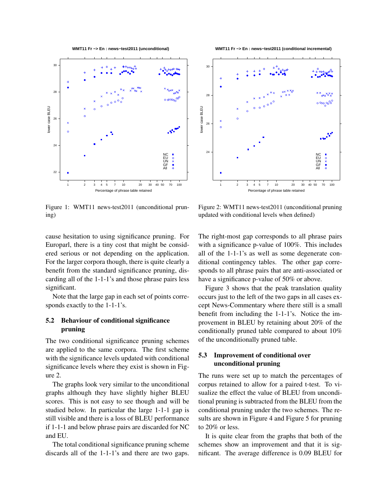**WMT11 Fr −> En : news−test2011 (unconditional)**



Figure 1: WMT11 news-test2011 (unconditional pruning)

**WMT11 Fr −> En : news−test2011 (conditional incremental)**



Figure 2: WMT11 news-test2011 (unconditional pruning updated with conditional levels when defined)

cause hesitation to using significance pruning. For Europarl, there is a tiny cost that might be considered serious or not depending on the application. For the larger corpora though, there is quite clearly a benefit from the standard significance pruning, discarding all of the 1-1-1's and those phrase pairs less significant.

Note that the large gap in each set of points corresponds exactly to the 1-1-1's.

## 5.2 Behaviour of conditional significance pruning

The two conditional significance pruning schemes are applied to the same corpora. The first scheme with the significance levels updated with conditional significance levels where they exist is shown in Figure 2.

The graphs look very similar to the unconditional graphs although they have slightly higher BLEU scores. This is not easy to see though and will be studied below. In particular the large 1-1-1 gap is still visible and there is a loss of BLEU performance if 1-1-1 and below phrase pairs are discarded for NC and EU.

The total conditional significance pruning scheme discards all of the 1-1-1's and there are two gaps.

The right-most gap corresponds to all phrase pairs with a significance p-value of 100%. This includes all of the 1-1-1's as well as some degenerate conditional contingency tables. The other gap corresponds to all phrase pairs that are anti-associated or have a significance p-value of 50% or above.

Figure 3 shows that the peak translation quality occurs just to the left of the two gaps in all cases except News-Commentary where there still is a small benefit from including the 1-1-1's. Notice the improvement in BLEU by retaining about 20% of the conditionally pruned table compared to about 10% of the unconditionally pruned table.

### 5.3 Improvement of conditional over unconditional pruning

The runs were set up to match the percentages of corpus retained to allow for a paired t-test. To visualize the effect the value of BLEU from unconditional pruning is subtracted from the BLEU from the conditional pruning under the two schemes. The results are shown in Figure 4 and Figure 5 for pruning to 20% or less.

It is quite clear from the graphs that both of the schemes show an improvement and that it is significant. The average difference is 0.09 BLEU for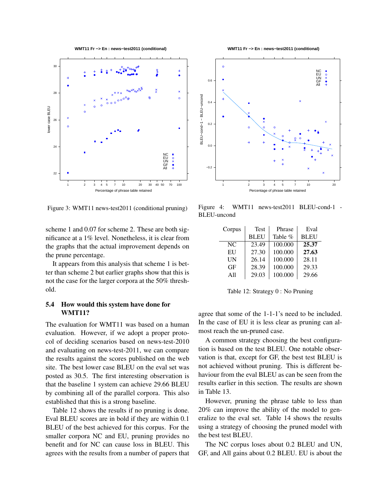**WMT11 Fr −> En : news−test2011 (conditional)**



Figure 3: WMT11 news-test2011 (conditional pruning)

scheme 1 and 0.07 for scheme 2. These are both significance at a 1% level. Nonetheless, it is clear from the graphs that the actual improvement depends on the prune percentage.

It appears from this analysis that scheme 1 is better than scheme 2 but earlier graphs show that this is not the case for the larger corpora at the 50% threshold.

#### 5.4 How would this system have done for WMT11?

The evaluation for WMT11 was based on a human evaluation. However, if we adopt a proper protocol of deciding scenarios based on news-test-2010 and evaluating on news-test-2011, we can compare the results against the scores published on the web site. The best lower case BLEU on the eval set was posted as 30.5. The first interesting observation is that the baseline 1 system can achieve 29.66 BLEU by combining all of the parallel corpora. This also established that this is a strong baseline.

Table 12 shows the results if no pruning is done. Eval BLEU scores are in bold if they are within 0.1 BLEU of the best achieved for this corpus. For the smaller corpora NC and EU, pruning provides no benefit and for NC can cause loss in BLEU. This agrees with the results from a number of papers that



Figure 4: WMT11 news-test2011 BLEU-cond-1 - BLEU-uncond

| Corpus | Test        | Phrase  | Eval        |
|--------|-------------|---------|-------------|
|        | <b>BLEU</b> | Table % | <b>BLEU</b> |
| NC     | 23.49       | 100.000 | 25.37       |
| EU     | 27.30       | 100.000 | 27.63       |
| UN     | 26.14       | 100.000 | 28.11       |
| GF     | 28.39       | 100.000 | 29.33       |
| A11    | 29.03       | 100.000 | 29.66       |

Table 12: Strategy 0 : No Pruning

agree that some of the 1-1-1's need to be included. In the case of EU it is less clear as pruning can almost reach the un-pruned case.

A common strategy choosing the best configuration is based on the test BLEU. One notable observation is that, except for GF, the best test BLEU is not achieved without pruning. This is different behaviour from the eval BLEU as can be seen from the results earlier in this section. The results are shown in Table 13.

However, pruning the phrase table to less than 20% can improve the ability of the model to generalize to the eval set. Table 14 shows the results using a strategy of choosing the pruned model with the best test BLEU.

The NC corpus loses about 0.2 BLEU and UN, GF, and All gains about 0.2 BLEU. EU is about the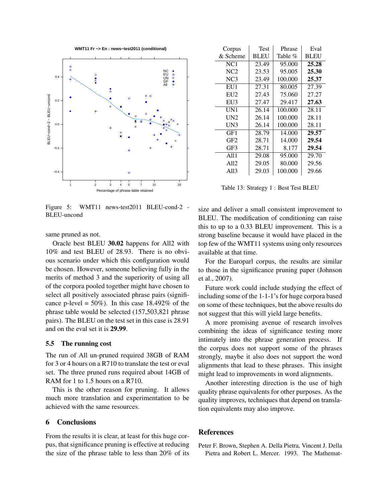

Figure 5: WMT11 news-test2011 BLEU-cond-2 - BLEU-uncond

same pruned as not.

Oracle best BLEU 30.02 happens for All2 with 10% and test BLEU of 28.93. There is no obvious scenario under which this configuration would be chosen. However, someone believing fully in the merits of method 3 and the superiority of using all of the corpora pooled together might have chosen to select all positively associated phrase pairs (significance p-level =  $50\%$ ). In this case 18.492% of the phrase table would be selected (157,503,821 phrase pairs). The BLEU on the test set in this case is 28.91 and on the eval set it is 29.99.

#### 5.5 The running cost

The run of All un-pruned required 38GB of RAM for 3 or 4 hours on a R710 to translate the test or eval set. The three pruned runs required about 14GB of RAM for 1 to 1.5 hours on a R710.

This is the other reason for pruning. It allows much more translation and experimentation to be achieved with the same resources.

#### 6 Conclusions

From the results it is clear, at least for this huge corpus, that significance pruning is effective at reducing the size of the phrase table to less than 20% of its

| Corpus          | Test        | Phrase  | Eval        |
|-----------------|-------------|---------|-------------|
| & Scheme        | <b>BLEU</b> | Table % | <b>BLEU</b> |
| NC <sub>1</sub> | 23.49       | 95.000  | 25.28       |
| NC2             | 23.53       | 95.005  | 25.30       |
| NC <sub>3</sub> | 23.49       | 100.000 | 25.37       |
| EU1             | 27.31       | 80.005  | 27.39       |
| EU2             | 27.43       | 75.060  | 27.27       |
| EU3             | 27.47       | 29.417  | 27.63       |
| UN1             | 26.14       | 100.000 | 28.11       |
| UN2             | 26.14       | 100.000 | 28.11       |
| UN3             | 26.14       | 100.000 | 28.11       |
| GF1             | 28.79       | 14.000  | 29.57       |
| GF2             | 28.71       | 14.000  | 29.54       |
| GF3             | 28.71       | 8.177   | 29.54       |
| A111            | 29.08       | 95.000  | 29.70       |
| A112            | 29.05       | 80.000  | 29.56       |
| A113            | 29.03       | 100.000 | 29.66       |

Table 13: Strategy 1 : Best Test BLEU

size and deliver a small consistent improvement to BLEU. The modification of conditioning can raise this to up to a 0.33 BLEU improvement. This is a strong baseline because it would have placed in the top few of the WMT11 systems using only resources available at that time.

For the Europarl corpus, the results are similar to those in the significance pruning paper (Johnson et al., 2007).

Future work could include studying the effect of including some of the 1-1-1's for huge corpora based on some of these techniques, but the above results do not suggest that this will yield large benefits.

A more promising avenue of research involves combining the ideas of significance testing more intimately into the phrase generation process. If the corpus does not support some of the phrases strongly, maybe it also does not support the word alignments that lead to these phrases. This insight might lead to improvements in word alignments.

Another interesting direction is the use of high quality phrase equivalents for other purposes. As the quality improves, techniques that depend on translation equivalents may also improve.

#### References

Peter F. Brown, Stephen A. Della Pietra, Vincent J. Della Pietra and Robert L. Mercer. 1993. The Mathemat-